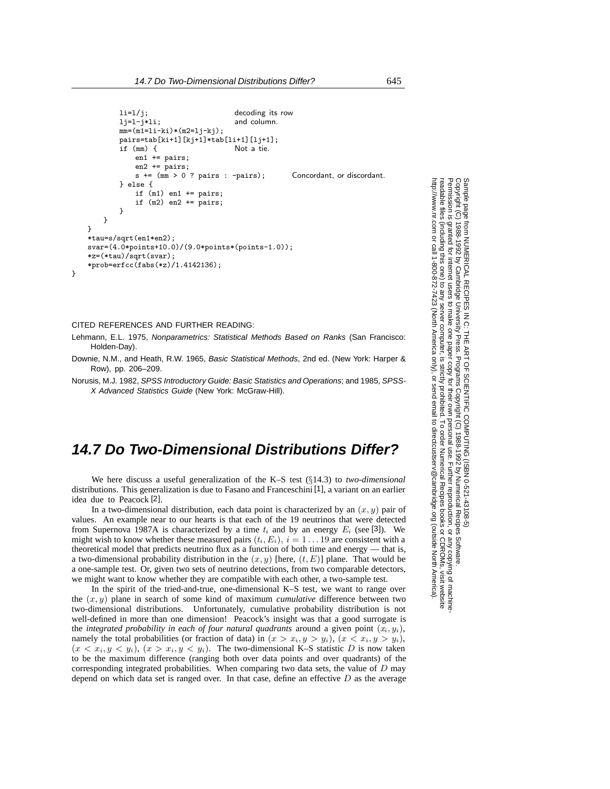```
li=1/j; decoding its row
       lj=l-j*li; and column.
       mm=(m1=li-ki)*(m2=lj-kj);pairs=tab[ki+1][kj+1]*tab[li+1][lj+1];
       if (mm) {f}en1 += pairs;
          en2 += pairs;s += (mm > 0 ? pairs : -pairs); Concordant, or discordant.
       } else {
          if (m1) en1 += pairs;
          if (m2) en2 += pairs;
       }
   }
}
*tau=s/sqrt(en1*en2);
svar=(4.0*points+10.0)/(9.0*points*(points-1.0));
*z=(*tau)/sqrt(svar);
*prob=erfcc(fabs(*z)/1.4142136);
```
## CITED REFERENCES AND FURTHER READING:

}

Lehmann, E.L. 1975, Nonparametrics: Statistical Methods Based on Ranks (San Francisco: Holden-Day).

Downie, N.M., and Heath, R.W. 1965, Basic Statistical Methods, 2nd ed. (New York: Harper & Row), pp. 206–209.

Norusis, M.J. 1982, SPSS Introductory Guide: Basic Statistics and Operations; and 1985, SPSS-X Advanced Statistics Guide (New York: McGraw-Hill).

## **14.7 Do Two-Dimensional Distributions Differ?**

We here discuss a useful generalization of the K–S test (§14.3) to *two-dimensional* distributions. This generalization is due to Fasano and Franceschini [1], a variant on an earlier idea due to Peacock [2].

In a two-dimensional distribution, each data point is characterized by an (*x, y*) pair of values. An example near to our hearts is that each of the 19 neutrinos that were detected from Supernova 1987A is characterized by a time  $t_i$  and by an energy  $E_i$  (see [3]). We might wish to know whether these measured pairs  $(t_i, E_i)$ ,  $i = 1...19$  are consistent with a theoretical model that predicts neutrino flux as a function of both time and energy — that is, a two-dimensional probability distribution in the (*x, y*) [here, (*t, E*)] plane. That would be a one-sample test. Or, given two sets of neutrino detections, from two comparable detectors, we might want to know whether they are compatible with each other, a two-sample test.

In the spirit of the tried-and-true, one-dimensional K–S test, we want to range over the (*x, y*) plane in search of some kind of maximum *cumulative* difference between two two-dimensional distributions. Unfortunately, cumulative probability distribution is not well-defined in more than one dimension! Peacock's insight was that a good surrogate is the *integrated probability in each of four natural quadrants* around a given point  $(x_i, y_i)$ , namely the total probabilities (or fraction of data) in  $(x > x_i, y > y_i)$ ,  $(x < x_i, y > y_i)$ ,  $(x < x_i, y < y_i), (x > x_i, y < y_i)$ . The two-dimensional K–S statistic *D* is now taken to be the maximum difference (ranging both over data points and over quadrants) of the corresponding integrated probabilities. When comparing two data sets, the value of *D* may depend on which data set is ranged over. In that case, define an effective *D* as the average

Sample page<br>Copyright (C)<br>Permission is Copyright (C) 1988-1992 by Cambridge University Press.Sample page from NUMERICAL RECIPES IN C: THE ART OF SCIENTIFIC COMPUTING (ISBN 0-521-43108-5) http://www.nr.com or call 1-800-872-7423 (North America only),readable files (including this one) to any serverPermission is granted for internet users to make one paper copy for their own personal use. Further reproduction, or any copyin from NUMERICAL RECIPES IN C: THE ART OF SCIENTIFIC COMPUTING (ISBN 0-521-43108-5)<br>1988-1992 by Cambridge University Press. Programs Copyright (C) 1988-1992 by Numerical Recipes Software.<br>granted for internet users to make computer, is strictly prohibited. To order Numerical Recipes booksPrograms Copyright (C) 1988-1992 by Numerical Recipes Software. or send email to directcustserv@cambridge.org (outside North America). or CDROMs, visit website g of machine-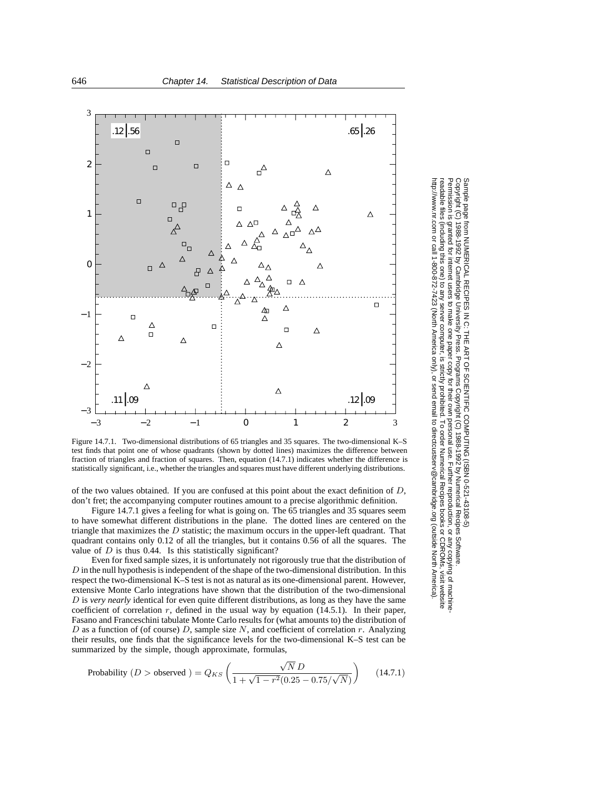

Figure 14.7.1. Two-dimensional distributions of 65 triangles and 35 squares. The two-dimensional K–S test finds that point one of whose quadrants (shown by dotted lines) maximizes the difference between fraction of triangles and fraction of squares. Then, equation (14.7.1) indicates whether the difference is statistically significant, i.e., whether the triangles and squares must have different underlying distributions.

of the two values obtained. If you are confused at this point about the exact definition of *D*, don't fret; the accompanying computer routines amount to a precise algorithmic definition.

Figure 14.7.1 gives a feeling for what is going on. The 65 triangles and 35 squares seem to have somewhat different distributions in the plane. The dotted lines are centered on the triangle that maximizes the *D* statistic; the maximum occurs in the upper-left quadrant. That quadrant contains only 0.12 of all the triangles, but it contains 0.56 of all the squares. The value of  $D$  is thus 0.44. Is this statistically significant?

Even for fixed sample sizes, it is unfortunately not rigorously true that the distribution of *D* in the null hypothesis is independent of the shape of the two-dimensional distribution. In this respect the two-dimensional K–S test is not as natural as its one-dimensional parent. However, extensive Monte Carlo integrations have shown that the distribution of the two-dimensional *D* is *very nearly* identical for even quite different distributions, as long as they have the same coefficient of correlation  $r$ , defined in the usual way by equation  $(14.5.1)$ . In their paper, Fasano and Franceschini tabulate Monte Carlo results for (what amounts to) the distribution of *D* as a function of (of course) *D*, sample size *N*, and coefficient of correlation *r*. Analyzing their results, one finds that the significance levels for the two-dimensional K–S test can be summarized by the simple, though approximate, formulas,

Probability 
$$
(D > \text{observed}) = Q_{KS} \left( \frac{\sqrt{N} D}{1 + \sqrt{1 - r^2 (0.25 - 0.75/\sqrt{N})}} \right)
$$
 (14.7.1)

Copyright (C) 1988-1992 by Cambridge University Press.Sample page from NUMERICAL RECIPES IN C: THE ART OF SCIENTIFIC COMPUTING (ISBN 0-521-43108-5) ntp://www.nr.com or call 1-800-872-7423 (North America only), or send email to directcustserv@cambridge.org (outside North America) http://www.nr.com or call 1-800-872-7423 (North America only),readable files (including this one) to any serverPermission is granted for internet users to make one paper copy for their own personal use. Further reproduction, or any copyin Sample page from NUMERICAL RECUPES IN C. THE ART OF SCIENTIFIC COMPUTING (ISBN 0-531-43109-5)<br>Copyright (C) 1988-1992 by Cambridge University Press: Programs Copyright (C) 1989-1992 by Numnerical Recipes Software eadable files Permission is computer, is strictly prohibited. To order Numerical Recipes booksPrograms Copyright (C) 1988-1992 by Numerical Recipes Software. or send email to directcustserv@cambridge.org (outside North America). or CDROMs, visit website g of machine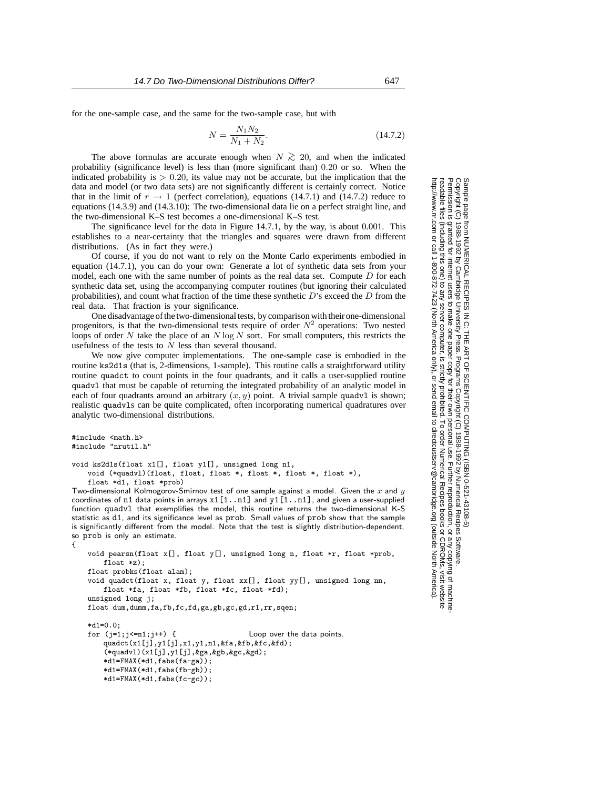for the one-sample case, and the same for the two-sample case, but with

$$
N = \frac{N_1 N_2}{N_1 + N_2}.
$$
\n(14.7.2)

The above formulas are accurate enough when  $N \gtrsim 20$ , and when the indicated probability (significance level) is less than (more significant than)  $0.20$  or so. When the indicated probability is  $> 0.20$ , its value may not be accurate, but the implication that the indicated probability is *>* 0*.*20, its value may not be accurate, but the implication that the data and model (or two data sets) are not significantly different is certainly correct. Notice that in the limit of  $r \to 1$  (perfect correlation), equations (14.7.1) and (14.7.2) reduce to equations (14.3.9) and (14.3.10): The two-dimensional data lie on a perfect straight line, and the two-dimensional K–S test becomes a one-dimensional K–S test.

The significance level for the data in Figure 14.7.1, by the way, is about 0.001. This establishes to a near-certainty that the triangles and squares were drawn from different distributions. (As in fact they were.)

Of course, if you do not want to rely on the Monte Carlo experiments embodied in equation (14.7.1), you can do your own: Generate a lot of synthetic data sets from your model, each one with the same number of points as the real data set. Compute *D* for each synthetic data set, using the accompanying computer routines (but ignoring their calculated probabilities), and count what fraction of the time these synthetic *D*'s exceed the *D* from the real data. That fraction is your significance.

One disadvantage of the two-dimensional tests, by comparison with their one-dimensional progenitors, is that the two-dimensional tests require of order  $N^2$  operations: Two nested loops of order *N* take the place of an *N* log *N* sort. For small computers, this restricts the usefulness of the tests to  $\overline{N}$  less than several thousand.

We now give computer implementations. The one-sample case is embodied in the routine ks2d1s (that is, 2-dimensions, 1-sample). This routine calls a straightforward utility routine quadct to count points in the four quadrants, and it calls a user-supplied routine quadvl that must be capable of returning the integrated probability of an analytic model in each of four quadrants around an arbitrary  $(x, y)$  point. A trivial sample quadv1 is shown; realistic quadvls can be quite complicated, often incorporating numerical quadratures over analytic two-dimensional distributions.

```
#include <math.h>
#include "nrutil.h"
void ks2d1s(float x1[], float y1[], unsigned long n1,
    void (*quadvl)(float, float, float *, float *, float *, float *),
    float *d1, float *prob)
Two-dimensional Kolmogorov-Smirnov test of one sample against a model. Given the x and y
coordinates of n1 data points in arrays x1[1..n1] and y1[1..n1], and given a user-supplied
function quadvl that exemplifies the model, this routine returns the two-dimensional K-S
statistic as d1, and its significance level as prob. Small values of prob show that the sample
is significantly different from the model. Note that the test is slightly distribution-dependent,
so prob is only an estimate.
    void pearsn(float x[], float y[], unsigned long n, float *r, float *prob,
        float *z):
    float probks(float alam);
    void quadct(float x, float y, float xx[], float yy[], unsigned long nn,
        float *fa, float *fb, float *fc, float *fd);
    unsigned long j;
    float dum,dumm,fa,fb,fc,fd,ga,gb,gc,gd,r1,rr,sqen;
    *d1=0.0;<br>for (j=1;j<=n1;j++) {
                                             Loop over the data points.
        quadct(x1[j],y1[j],x1,y1,n1,&fa,&fb,&fc,&fd);
        (*quadv1)(x1[j], y1[j], kga, kgb, kgc, kgd);*d1=FMAX(*d1,fabs(fa-ga));
        *d1=FMAX(*d1,fabs(fb-gb));
        *dl = FMAX(*dl,fabs(fc-gc));
```
{

Permission is granted for internet users to make one paper copy for their own personal use. Further reproduction, or any copyin Copyright (C) 1988-1992 by Cambridge University Press.Programs Copyright (C) 1988-1992 by Numerical Recipes Software. Sample page from NUMERICAL RECIPES IN C: THE ART OF SCIENTIFIC COMPUTING (ISBN 0-521-43108-5) g of machinereadable files (including this one) to any servercomputer, is strictly prohibited. To order Numerical Recipes booksor CDROMs, visit website http://www.nr.com or call 1-800-872-7423 (North America only),or send email to directcustserv@cambridge.org (outside North America).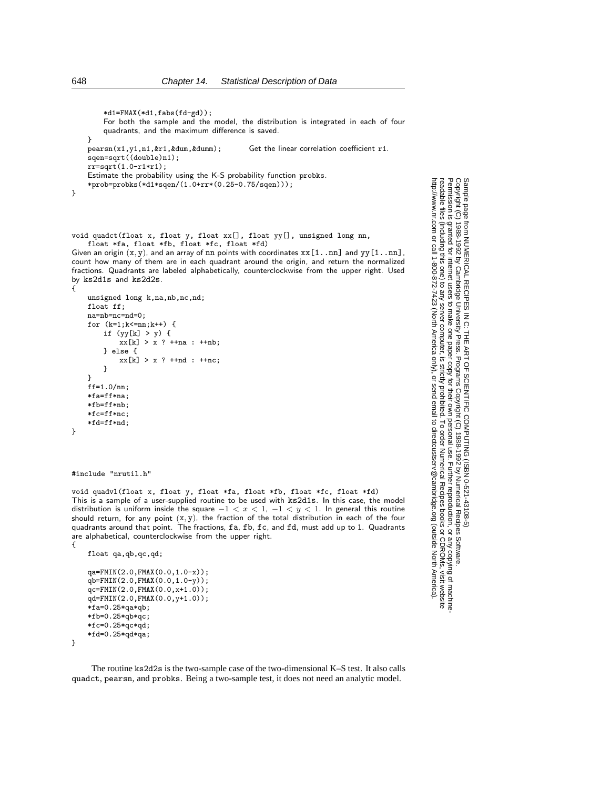```
*d1=FMAX(*d1,fabs(fd-gd));
        For both the sample and the model, the distribution is integrated in each of four
        quadrants, and the maximum difference is saved.
    }
    pearsn(x1,y1,n1,&r1,&dum,&dumm); Get the linear correlation coefficient r1.
    sqen=sqrt((double)n1);
    rr = sqrt(1.0 - r1*r1);Estimate the probability using the K-S probability function probks.
    *prob=probks(*d1*sqen/(1.0+rr*(0.25-0.75/sqen)));
}
```
void quadct(float x, float y, float xx[], float yy[], unsigned long nn, float \*fa, float \*fb, float \*fc, float \*fd)

Given an origin  $(x, y)$ , and an array of  $nn$  points with coordinates  $xx[1..nn]$  and  $yy[1..nn]$ , count how many of them are in each quadrant around the origin, and return the normalized fractions. Quadrants are labeled alphabetically, counterclockwise from the upper right. Used by ks2d1s and ks2d2s.

```
unsigned long k,na,nb,nc,nd;
float ff;
na=nb=nc=nd=0;
for (k=1;k<=nn;k++) {
    if (yy[k] > y) {
       xx[k] > x ? +na : +nb;
    } else {
       xx[k] > x ? ++nd : ++nc;
    }
}
ff=1.0/nn;
*fa=ff*na;
*fb=ff*nb;
*fc=ff*nc;
*fd=ff*nd;
```
#include "nrutil.h"

void quadvl(float x, float y, float \*fa, float \*fb, float \*fc, float \*fd) This is a sample of a user-supplied routine to be used with ks2d1s. In this case, the model distribution is uniform inside the square *−*1 *<x<* 1, *−*1 *<y<* 1. In general this routine should return, for any point  $(x, y)$ , the fraction of the total distribution in each of the four quadrants around that point. The fractions, fa, fb, fc, and fd, must add up to 1. Quadrants are alphabetical, counterclockwise from the upper right. {

```
float qa,qb,qc,qd;
qa=FMIN(2.0,FMAX(0.0,1.0-x));
qb=FMIN(2.0,FMAX(0.0,1.0-y));
qc=FMIN(2.0,FMAX(0.0,x+1.0));
qd=FMIN(2.0,FMAX(0.0,y+1.0));
*fa=0.25*qa*qb;
*fb=0.25*qb*qc;
*fc=0.25*qc*qd;
*fd=0.25*qd*qa;
```
}

The routine ks2d2s is the two-sample case of the two-dimensional K–S test. It also calls quadct, pearsn, and probks. Being a two-sample test, it does not need an analytic model.

Sample page 1<br>Copyright (C)<br>Permission is Copyright (C) 1988-1992 by Cambridge University Press.Sample page from NUMERICAL RECIPES IN C: THE ART OF SCIENTIFIC COMPUTING (ISBN 0-521-43108-5) http://www.nr.com or call 1-800-872-7423 (North America only),readable files (including this one) to any serverPermission is granted for internet users to make one paper copy for their own personal use. Further reproduction, or any copyin from NUMERICAL RECIPES IN C: THE ART OF SCIENTIFIC COMPUTING (ISBN 0-521-43108-5)<br>11988-1992 by Cambridge University Press. Programs Copyright (C) 1988-1992 by Numerical Recipes Software.<br>9 granted for internet users to ma computer, is strictly prohibited. To order Numerical Recipes booksPrograms Copyright (C) 1988-1992 by Numerical Recipes Software. or send email to directcustserv@cambridge.org (outside North America). or CDROMs, visit website g of machine-

{

}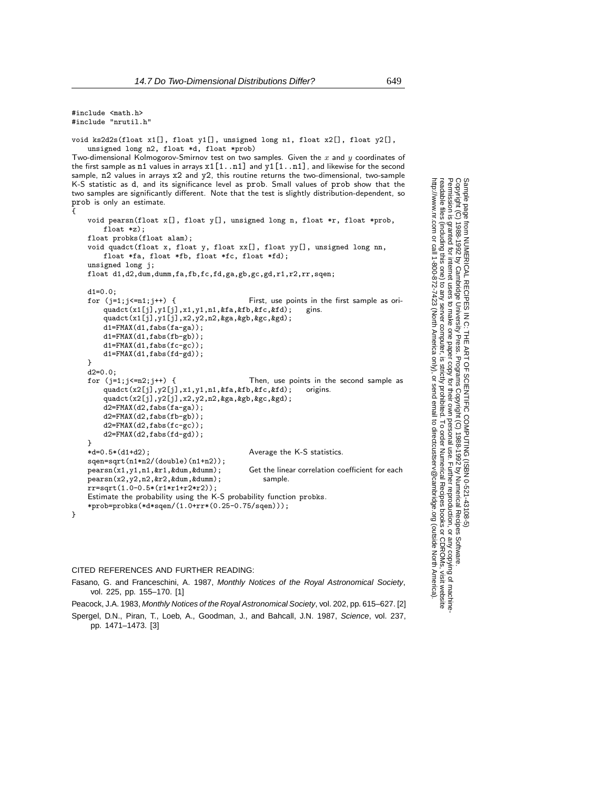#include <math.h> #include "nrutil.h"

{

}

void ks2d2s(float x1[], float y1[], unsigned long n1, float  $x2[]$ , float  $y2[]$ , unsigned long n2, float \*d, float \*prob)

Two-dimensional Kolmogorov-Smirnov test on two samples. Given the *x* and *y* coordinates of the first sample as  $n1$  values in arrays  $x1[1..n1]$  and  $y1[1..n1]$ , and likewise for the second sample, n2 values in arrays x2 and y2, this routine returns the two-dimensional, two-sample K-S statistic as d, and its significance level as prob. Small values of prob show that the two samples are significantly different. Note that the test is slightly distribution-dependent, so prob is only an estimate.

```
void pearsn(float x[], float y[], unsigned long n, float *r, float *prob,
    float *z);
float probks(float alam);
void quadct(float x, float y, float xx[], float yy[], unsigned long nn,
    float *fa, float *fb, float *fc, float *fd);
unsigned long j;
float d1,d2,dum,dumm,fa,fb,fc,fd,ga,gb,gc,gd,r1,r2,rr,sqen;
d1=0.0;
for (j=1;j<=n1;j++) { First, use points in the first sample as ori-
    quadct(x1[j],y1[j],x1,y1,n1,&fa,&fb,&fc,&fd); gins.
    quadct(x1[j],y1[j],x2,y2,n2,&ga,&gb,&gc,&gd);
    d1=FMAX(d1,fabs(fa-ga));
    d1=FMAX(d1,fabs(fb-gb));
    d1 = FMAX(d1, fabs(fc-gc));d1=FMAX(d1,fabs(fd-gd));
}
d2=0.0;<br>for (j=1;j<=n2;j++) {
                                         Then, use points in the second sample as \delta x \&f c \&f d): origins.
    quadct(x2[j], y2[j], x1, y1, n1, kfa, kfb, kfc, kfd);quadct(x2[j],y2[j],x2,y2,n2,&ga,&gb,&gc,&gd);
    d2 = FMAX(d2, fabs(fa-ga));
    d2=FMAX(d2,fabs(fb-gb));
    d2=FMAX(d2,fabs(fc-gc));
    d2=FMAX(d2,fabs(fd-gd));
}
*d=0.5*(d1+d2); Average the K-S statistics.
sqen=sqrt(n1*n2/(double)(n1+n2));<br>pearsn(x1,y1,n1,kr1,kdum,kdumm);Get the linear correlation coefficient for each
pearsn(x2,y2,n2,&r2,&dum,&dumm); sample.
rr=sqrt(1.0-0.5*(r1*r1+r2*r2));
Estimate the probability using the K-S probability function probks.
*prob=probks(*d*sqen/(1.0+rr*(0.25-0.75/sqen)));
```
## CITED REFERENCES AND FURTHER READING:

Fasano, G. and Franceschini, A. 1987, Monthly Notices of the Royal Astronomical Society, vol. 225, pp. 155–170. [1]

Peacock, J.A. 1983, Monthly Notices of the Royal Astronomical Society, vol. 202, pp. 615–627. [2] Spergel, D.N., Piran, T., Loeb, A., Goodman, J., and Bahcall, J.N. 1987, Science, vol. 237, pp. 1471–1473. [3]

Copyright (C) 1988-1992 by Cambridge University Press.Sample page from NUMERICAL RECIPES IN C: THE ART OF SCIENTIFIC COMPUTING (ISBN 0-521-43108-5) http://www.nr.com or call 1-800-872-7423 (North America only),readable files (including this one) to any serverPermission is granted for internet users to make one paper copy for their own personal use. Further reproduction, or any copyin from NUMERICAL RECIPES<br>1988-1992 by Cambridge Uni<br>granted for internet users to n computer, is strictly prohibited. To order Numerical Recipes booksPrograms Copyright (C) 1988-1992 by Numerical Recipes Software. or send email to directcustserv@cambridge.org (outside North America). or CDROMs, visit website g of machine-